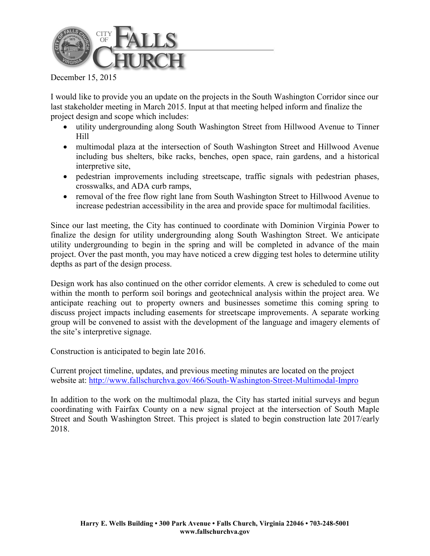

December 15, 2015

I would like to provide you an update on the projects in the South Washington Corridor since our last stakeholder meeting in March 2015. Input at that meeting helped inform and finalize the project design and scope which includes:

- utility undergrounding along South Washington Street from Hillwood Avenue to Tinner Hill
- multimodal plaza at the intersection of South Washington Street and Hillwood Avenue including bus shelters, bike racks, benches, open space, rain gardens, and a historical interpretive site,
- pedestrian improvements including streetscape, traffic signals with pedestrian phases, crosswalks, and ADA curb ramps,
- removal of the free flow right lane from South Washington Street to Hillwood Avenue to increase pedestrian accessibility in the area and provide space for multimodal facilities.

Since our last meeting, the City has continued to coordinate with Dominion Virginia Power to finalize the design for utility undergrounding along South Washington Street. We anticipate utility undergrounding to begin in the spring and will be completed in advance of the main project. Over the past month, you may have noticed a crew digging test holes to determine utility depths as part of the design process.

Design work has also continued on the other corridor elements. A crew is scheduled to come out within the month to perform soil borings and geotechnical analysis within the project area. We anticipate reaching out to property owners and businesses sometime this coming spring to discuss project impacts including easements for streetscape improvements. A separate working group will be convened to assist with the development of the language and imagery elements of the site's interpretive signage.

Construction is anticipated to begin late 2016.

Current project timeline, updates, and previous meeting minutes are located on the project website at: http://www.fallschurchva.gov/466/South-Washington-Street-Multimodal-Impro

In addition to the work on the multimodal plaza, the City has started initial surveys and begun coordinating with Fairfax County on a new signal project at the intersection of South Maple Street and South Washington Street. This project is slated to begin construction late 2017/early 2018.